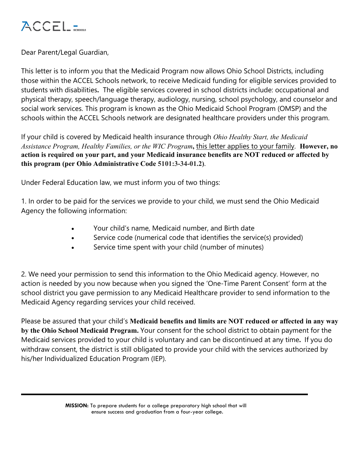

Dear Parent/Legal Guardian,

This letter is to inform you that the Medicaid Program now allows Ohio School Districts, including those within the ACCEL Schools network, to receive Medicaid funding for eligible services provided to students with disabilities**.** The eligible services covered in school districts include: occupational and physical therapy, speech/language therapy, audiology, nursing, school psychology, and counselor and social work services. This program is known as the Ohio Medicaid School Program (OMSP) and the schools within the ACCEL Schools network are designated healthcare providers under this program.

If your child is covered by Medicaid health insurance through *Ohio Healthy Start, the Medicaid Assistance Program, Healthy Families, or the WIC Program***,** this letter applies to your family. **However, no action is required on your part, and your Medicaid insurance benefits are NOT reduced or affected by this program (per Ohio Administrative Code 5101:3-34-01.2)**.

Under Federal Education law, we must inform you of two things:

1. In order to be paid for the services we provide to your child, we must send the Ohio Medicaid Agency the following information:

- Your child's name, Medicaid number, and Birth date
- Service code (numerical code that identifies the service(s) provided)
- Service time spent with your child (number of minutes)

2. We need your permission to send this information to the Ohio Medicaid agency. However, no action is needed by you now because when you signed the 'One-Time Parent Consent' form at the school district you gave permission to any Medicaid Healthcare provider to send information to the Medicaid Agency regarding services your child received.

Please be assured that your child's **Medicaid benefits and limits are NOT reduced or affected in any way by the Ohio School Medicaid Program.** Your consent for the school district to obtain payment for the Medicaid services provided to your child is voluntary and can be discontinued at any time**.** If you do withdraw consent, the district is still obligated to provide your child with the services authorized by his/her Individualized Education Program (IEP).